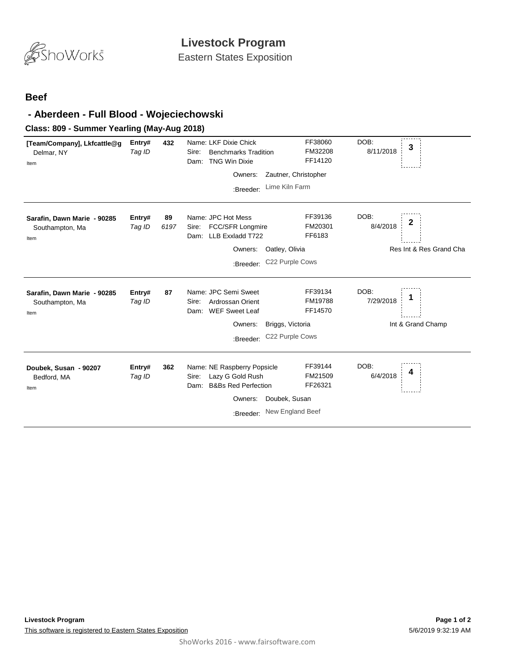

Eastern States Exposition

## **Beef**

## **- Aberdeen - Full Blood - Wojeciechowski**

## **Class: 809 - Summer Yearling (May-Aug 2018)**

| [Team/Company], Lkfcattle@g<br>Delmar, NY<br>Item      | Entry#<br>Tag ID | 432        | Name: LKF Dixie Chick<br><b>Benchmarks Tradition</b><br>Sire:<br><b>TNG Win Dixie</b><br>Dam:<br>Owners:<br>:Breeder:      | FF38060<br>FM32208<br>FF14120<br>Zautner, Christopher<br>Lime Kiln Farm | DOB:<br>3<br>8/11/2018                           |
|--------------------------------------------------------|------------------|------------|----------------------------------------------------------------------------------------------------------------------------|-------------------------------------------------------------------------|--------------------------------------------------|
| Sarafin, Dawn Marie - 90285<br>Southampton, Ma<br>Item | Entry#<br>Tag ID | 89<br>6197 | Name: JPC Hot Mess<br>FCC/SFR Longmire<br>Sire:<br>LLB Exxladd T722<br>Dam:<br>Owners:<br>:Breeder:                        | FF39136<br>FM20301<br>FF6183<br>Oatley, Olivia<br>C22 Purple Cows       | DOB:<br>2<br>8/4/2018<br>Res Int & Res Grand Cha |
| Sarafin, Dawn Marie - 90285<br>Southampton, Ma<br>Item | Entry#<br>Tag ID | 87         | Name: JPC Semi Sweet<br>Ardrossan Orient<br>Sire:<br><b>WEF Sweet Leaf</b><br>Dam:<br>Owners:<br>:Breeder:                 | FF39134<br>FM19788<br>FF14570<br>Briggs, Victoria<br>C22 Purple Cows    | DOB:<br>1<br>7/29/2018<br>Int & Grand Champ      |
| Doubek, Susan - 90207<br>Bedford, MA<br>Item           | Entry#<br>Tag ID | 362        | Name: NE Raspberry Popsicle<br>Lazy G Gold Rush<br>Sire:<br><b>B&amp;Bs Red Perfection</b><br>Dam:<br>Owners:<br>:Breeder: | FF39144<br>FM21509<br>FF26321<br>Doubek, Susan<br>New England Beef      | DOB:<br>4<br>6/4/2018                            |